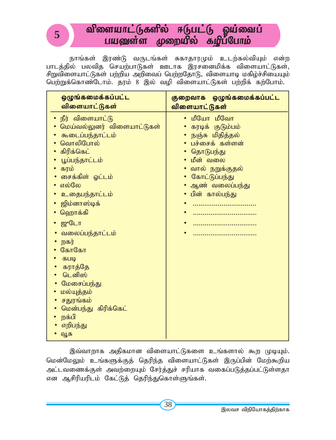# விளையாட்டுகளில் ஈடுபட்டு ஓய்வைப் பயணள்ள முறையில் கழிப்போம்

**5**

நாங்கள் இரண்டு வருடங்கள் சுகாதாரமும் உடற்கல்வியும் என்ற பாடத்தில் பலவித செயற்பாடுகள் ஊடாக இரசனைமிக்க விளையாட்டுகள், சிறுவிளையாட்டுகள் பற்றிய அறிவைப் பெற்றதோடு, விளையாடி மகிழ்ச்சியையும் *ngw;Wf;nfhz;Nlhk;. juk; 8 ,y; top tpisahl;L;fs; gw;wpf; fw;Nghk;.*

| ஒழுங்கமைக்கப்பட்ட                                                                                                                                                                                                                                                                                                                                                               | குறைவாக ஒழுங்கமைக்கப்பட்ட                                                                                                                                                         |
|---------------------------------------------------------------------------------------------------------------------------------------------------------------------------------------------------------------------------------------------------------------------------------------------------------------------------------------------------------------------------------|-----------------------------------------------------------------------------------------------------------------------------------------------------------------------------------|
| விளையாட்டுகள்                                                                                                                                                                                                                                                                                                                                                                   | விளையாட்டுகள்                                                                                                                                                                     |
| • நீர் விளையாட்டு<br>மெய்வல்லுனர் விளையாட்டுகள்<br>கூடைப்பந்தாட்டம்<br>வொலிபோல்<br>கிரிக்கெட்<br>்பூப்பந்தாட்டம்<br>கரம்<br>சைக்கிள் ஓட்டம்<br>எல்லே<br><u>உதைபந்தாட்டம்</u><br>ஜிம்னாஸ்டிக்<br>ஹொக்கி<br>• ஜுடோ<br>வலைப்பந்தாட்டம்<br>றகர்<br>கோகோ<br>கபடி<br>கராத்தே<br>டெனிஸ்<br>மேசைப்பந்து<br>மல்யுத்தம்<br>சதுரங்கம்<br>மென்பந்து கிரிக்கெட்<br>றக்பி<br>எறிபந்து<br>வூசு | • மீயோ மீவோ<br>கரடிக் குடும்பம்<br>நஞ்சு மிதித்தல்<br>• பச்சைக் கள்ளன்<br>தொடுபந்து<br>• மீன் வலை<br>• வால் நறுக்குதல்<br>• கோட்டுப்பந்து<br>• ஆண் வலைப்பந்து<br>• பின் கால்பந்து |

இவ்வாறாக அதிகமான விளையாட்டுகளை உங்களால் கூற முடியும். *nkd;NkYk; cq;fSf;Fj; njupe;j tpisahl;L;fs; ,Ug;gpd; Nkw;\$wpa* அட்டவணைக்குள் அவற்றையும் சேர்த்துச் சரியாக வகைப்படுத்தப்பட்டுள்ளதா என ஆசிரியரிடம் கேட்டுத் தெரிந்துகொள்ளுங்கள்.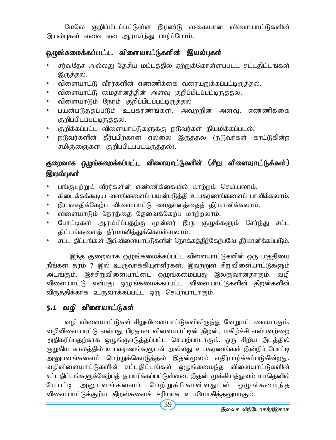மேலே குறிப்பிடப்பட்டுள்ள இரண்டு வகையான விளையாட்டுகளின் இயல்புகள் எவை என ஆராய்ந்து பார்ப்போம்.

### ஒழுங்கமைக்கப்பட்ட விளையாட்டுகளின் இயல்புகள்

- சர்வதேச அல்லது தேசிய மட்டத்தில் ஏற்றுக்கொள்ளப்பட்ட சட்டதிட்டங்கள் இருத்தல்.
- விளையாட்டு வீரர்களின் எண்ணிக்கை வரையறுக்கப்பட்டிருத்தல்.
- விளையாட்டு மைதானத்தின் அளவு குறிப்பிடப்பட்டிருத்தல்.
- *tpisahLk; Neuk; Fwpg;gplg;gl;bUj;jy;*
- பயன்படுத்தப்படும் உபகரணங்கள், அவற்றின் அளவு, எண்ணிக்கை குறிப்பிடப்பட்டிருத்தல்.
- குறிக்கப்பட்ட விளையாட்டுகளுக்கு நடுவர்கள் நியமிக்கப்படல்.
- நடுவர்களின் தீர்ப்பிற்கான எல்லை இருத்தல் (நடுவர்கள் காட்டுகின்ற சமிஞ்ஞைகள் குறிப்பிடப்பட்டிருத்தல்).

## குறைவாக ஒழுங்கமைக்கப்பட்ட விளையாட்டுகளின் (சிறு விளையாட்டுக்கள்) இயல்புகள்

- பங்குபற்றும் வீரர்களின் எண்ணிக்கையில் மாற்றம் செய்யலாம்.
- கிடைக்கக்கூடிய வளங்களைப் பயன்படுத்தி உபகரணங்களைப் பாவிக்கலாம்.
- இடவசதிக்கேற்ப விளையாட்டு மைதானத்தைத் தீர்மானிக்கலாம்.
- விளையாடும் நேரத்தை தேவைக்கேற்ப மாற்றலாம்.
- போட்டிகள் ஆரம்பிப்பதற்கு முன்னர் இரு குழுக்களும் சேர்ந்து சட்ட திட்டங்களைத் தீர்மானித்துக்கொள்ளலாம்.
- சட்ட திட்டங்கள் இவ்விளையாட்டுகளின் நோக்கத்திற்கேற்பவே தீர்மானிக்கப்படும்.

இந்த குறைவாக ஒழுங்கமைக்கப்பட்ட விளையாட்டுகளின் ஒரு பகுதியை நீங்கள் தரம் 7 இல் உருவாக்கியுள்ளீர்கள். இவற்றுள் சிறுவிளையாட்டுகளும் அடங்கும். இச்சிறுவிளையாட்டை ஒழுங்கமைப்பது இலகுவானதாகும். வழி விளையாட்டு என்பது ஒழுங்கமைக்கப்பட்ட விளையாட்டுகளின் திறன்களின் விருத்திக்காக உருவாக்கப்பட்ட ஒரு செயற்பாடாகும்.

## 5.1 வழி விளையாட்டுகள்

வழி விளையாட்டுகள் சிறுவிளையாட்டுகளிலிருந்து வேறுபட்டவையாகும். வழிவிளையாட்டு என்பது பிரதான விளையாட்டின் திறன், மகிழ்ச்சி என்பவற்றை அதிகரிப்பதற்காக ஒழுங்குபடுத்தப்பட்ட செயற்பாடாகும். ஒரு சிறிய இடத்தில் குறுகிய காலத்தில் உபகரணங்களுடன் அல்லது உபகரணங்கள் இன்றிப் போட்டி அனுபவங்களைப் பெற்றுக்கொடுத்தல் இதன்முலம் எதிர்பார்க்கப்படுகின்றது. வழிவிளையாட்டுகளின் சட்டதிட்டங்கள் ஒமுங்கமைந்த விளையாட்டுகளின் சட்டதிட்டங்களுக்கேற்பத் தயாரிக்கப்பட்டுள்ளன. இதன் முக்கியத்துவம் யாதெனில் போட்டி அனுபவங்களைப் பெற்றுக்கொள்வதுடன் ஒழுங்கமைந்த விளையாட்டுக்குரிய திறன்களைச் சரியாக உபயோகித்<u>தலு</u>மாகும்.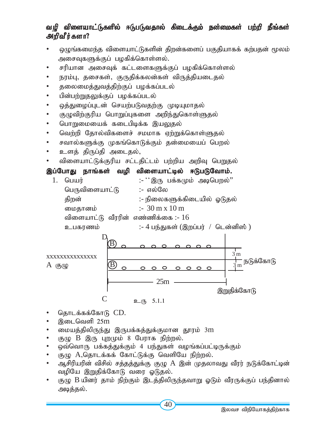### வழி விளையாட்டுகளில் ஈடுபடுவதால் கிடைக்கும் நன்மைகள் பற்றி நீங்கள் அறிவீர்களா?

- ஒழுங்கமைந்த விளையாட்டுகளின் திறன்களைப் பகுதியாகக் கற்பதன் மூலம் அசைவுகளுக்குப் பழகிக்கொள்ளல்.
- சரியான அசைவுக் கட்டளைகளுக்குப் பழகிக்கொள்ளல்
- நரம்பு, தசைகள், குருதிக்கலன்கள் விருத்தியடைதல்
- தலைமைத்துவத்திற்குப் பழக்கப்படல்
- பின்பற்றுதலுக்குப் பழக்கப்படல்
- ஒத்துழைப்புடன் செயற்படுவதற்கு முடியுமாதல்
- குழுவிற்குரிய பொறுப்புகளை அறிந்துகொள்ளுதல்
- பொறுமையைக் கடைபிடிக்க இயலுதல்
- வெற்றி தோல்விகளைச் சமமாக ஏற்றுக்கொள்ளுகல்
- சவால்களுக்கு முகங்கொடுக்கும் தன்மையைப் பெறல்
- உளத் திருப்தி அடைதல்,
- *tpisahl;Lf;Fupa rl;ljpl;lk; gw;wpa mwpT ngWjy;*

### இப்போது நாங்கள் வழி விளையாட்டில் ஈடுபடுவோம்.

1. பெயர் :- <sup>.</sup> ^ இரு பக்கமும் அடிபெறல்'' *ngUtpisahl;L* :- *vy;Ny jpwd;* :- *epiyfSf;fpilapy; XLjy; ikjhdk;* :- 30 m x 10 m <u>விளையாட்டு வீரரின் எண்ணிக்கை :- 16</u> உபகரணம் :- 4 பந்துகள் (இறப்பர் / டென்னிஸ் ) D B  $\frac{1}{3}$  m xxxxxxxxxxxxxxx <del>|-</del><br>3 m<br>3 m B  $A$  (5) $\mu$  $\circ \circ \circ \circ \circ \circ \circ$ 



### C  $p_{(T_2, T_3)}$  5.1.1

- *njhlf;ff;NfhL* CD.
- *,ilntsp 25*m
- *ikaj;jpypUe;J ,Ugf;fj;Jf;Fkhd J}uk; 3*m
- குழு B இரு புறமும் 8 பேராக நிற்றல்.
- ஒவ்வொரு பக்கத்துக்கும் 4 பந்துகள் வழங்கப்பட்டிருக்கும்
- குழு A,தொடக்கக் கோட்டுக்கு வெளியே நிற்றல்.
- ஆசிரியரின் விசில் சத்தத்துக்கு குழு A இன் முதலாவது வீரர் நடுக்கோட்டின் வழியே இறுதிக்கோடு வரை ஓடுதல்.

25m

• சூழு B யினர் தாம் நிற்கும் இடத்திலிருந்தவாறு ஓடும் வீரருக்குப் பந்தினால் அடித்தல்.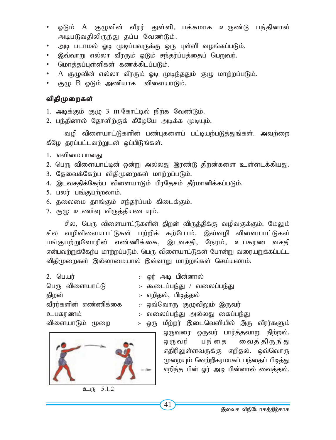- ஓடும் A குமுவின் வீரர் துள்ளி, பக்கமாக உருண்டு பந்தினால்  $\bullet$ அடிபடுவதிலிருந்து தப்ப வேண்டும்.
- அடி படாமல் ஓடி முடிப்பவருக்கு ஒரு புள்ளி வழங்கப்படும்.
- இவ்வாறு எல்லா வீரரும் ஓடும் சந்தர்ப்பத்தைப் பெறுவர்.  $\bullet$
- மொத்தப்புள்ளிகள் கணக்கிடப்படும்.
- A குழுவின் எல்லா வீரரும் ஓடி முடிந்ததும் குழு மாற்றப்படும்.  $\bullet$
- குமு B ஒடும் அணியாக விளையாடும்.  $\bullet$

#### விதிமுறைகள்

1. அடிக்கும் குழு 3 m கோட்டில் நிற்க வேண்டும்.

2. பந்தினால் தோளிற்குக் கீழேயே அடிக்க முடியும்.

வழி விளையாட்டுகளின் பண்புகளைப் பட்டியற்படுத்துங்கள். அவற்றை கீழே தரப்பட்டவற்றுடன் ஒப்பிடுங்கள்.

- 1. எளிமையானது
- 2. பெரு விளையாட்டின் ஒன்று அல்லது இரண்டு திறன்களை உள்ளடக்கியது.
- 3. தேவைக்கேற்ப விதிமுறைகள் மாற்றப்படும்.
- 4. இடவசதிக்கேற்ப விளையாடும் பிரதேசம் தீர்மானிக்கப்படும்.
- 5. பலர் பங்குபற்றலாம்.
- 6. தலைமை தாங்கும் சந்தர்ப்பம் கிடைக்கும்.
- 7. குழு உணர்வு விருத்தியடையும்.

சில, பெரு விளையாட்டுகளின் கிறன் விருக்கிக்கு வமிவகுக்கும். மேலும் சில வழிவிளையாட்டுகள் பற்றிக் கற்போம். இவ்வழி விளையாட்டுகள் பங்குபற்றுவோரின் எண்ணிக்கை, இடவசதி, நேரம், உபகரண வசதி என்பவற்றுக்கேற்ப மாற்றப்படும். பெரு விளையாட்டுகள் போன்று வரையறுக்கப்பட்ட விதிமுறைகள் இல்லாமையால் இவ்வாறு மாற்றங்கள் செய்யலாம்.

| 2. $\Box$            | :- ஓர் அடி பின்னால்            |
|----------------------|--------------------------------|
| பெரு விளையாட்டு      | :- கூடைப்பந்து / வலைப்பந்து    |
| திறன்                | :- எறிதல், பிடித்தல்           |
| வீரர்களின் எண்ணிக்கை | :- ஒவ்வொரு குழுவிலும் இருவர்   |
| உபகரணம்              | :- வலைப்பந்து அல்லது கைப்பந்து |
| விளையாடும் முறை      | :- ஒரு மீற்றர் இடைவெளியில் இரு |
|                      |                                |



 $\overline{5.1.2}$ உரு

வீார்களும் ஒருவரை ஒருவர் பார்த்தவாறு நிற்றல். பந்தை வைத் திருந் து ஒரு வர் எதிரிலுள்ளவருக்கு எறிதல். ஒவ்வொரு முறையும் வெற்றிகரமாகப் பந்தைப் பிடித்து எறிந்த பின் ஓர் அடி பின்னால் வைத்தல்.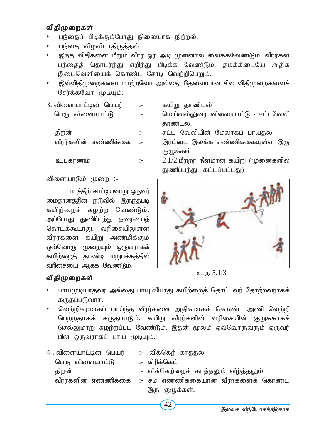#### விதிமுறைகள்

- பந்தைப் பிடிக்கும்போது நிலையாக நிற்றல்.
- பந்தை விழவிடாகிருக்கல்
- இந்த விதிகளை மீறும் வீரர் ஓர் அடி முன்னால் வைக்கவேண்டும். வீரர்கள் பந்தைத் தொடர்ந்து எறிந்து பிடிக்க வேண்டும். தமக்கிடையே அதிக இடைவெளியைக் கொண்ட சோடி வெற்றிபெறும்.
- இவ்விதிமுறைகளை மாற்றவோ அல்லது தேவையான சில விதிமுறைகளைச் சேர்க்கவோ முடியும்.
- 3. *tpisahl;bd; ngau;* :- *fapW jhz;ly;* *ngU tpisahl;L* :- *nka;ty;Ydu; tpisahl;L - rl;lNtyp* காண்டல்.  *jpwd;* :- *rl;l Ntypapd; Nkyhfg; gha;jy;.* வீரர்களின் எண்ணிக்கை :- இரட்டை இலக்க எண்ணிக்கையுள்ள இரு

(தமுக்கள்

விளையாடும் முறை :-

படக்<del>தி</del>ற் காட்டியவாறு ஒருவர் மைதானத்தின் நடுவில் இருந்தபடி கயிற்றைச் சுழற்ற வேண்டும். அப்போது துணிப்பந்து தரையைத் தொடக்கூடாது. வரிசையிலுள்ள வீரர்களை கயிறு அண்மிக்கும் ஒவ்வொரு முறையும் ஒருவராகக் கயிற்றைத் தாண்டி மறுபக்கத்தில் வரிசையை ஆக்க வேண்டும்.

### *tpjpKiwfs; tpjpKiwfs;*

 *cgfuzk;* :- 2 1/2 *kPw;wu; ePskhd fapW (Kidfspy;* துணிப்பந்து கட்டப்பட்டது)



<sup>&</sup>lt;u>உரு 5.1.3</u>

- பாயமுடியாதவர் அல்லது பாயும்போது கயிற்றைத் தொட்டவர் தோற்றவராகக் கருதப்படுவார்.
- வெற்றிகரமாகப் பாய்ந்த வீரர்களை அதிகமாகக் கொண்ட அணி வெற்றி பெற்றதாகக் கருதப்படும். கயிறு வீரர்களின் வரிசையின் குறுக்காகச் செல்லுமாறு சுழற்றப்பட வேண்டும். இதன் மூலம் ஒவ்வொருவரும் ஒருவர் பின் ஒருவராகப் பாய முடியும்.

| 4 . விளையாட்டின்  பெயர் | :- விக்கெற் காத்தல்                                       |
|-------------------------|-----------------------------------------------------------|
| பெரு விளையாட்டு         | :- கிரிக்கெட்                                             |
| திறன்                   | :- விக்கெற்றைக் காத்தலும் வீழ்த்தலும்.                    |
|                         | வீரர்களின் எண்ணிக்கை  :- சம எண்ணிக்கையான வீரர்களைக் கொண்ட |
|                         | இரு குழுக்கள்.                                            |
|                         |                                                           |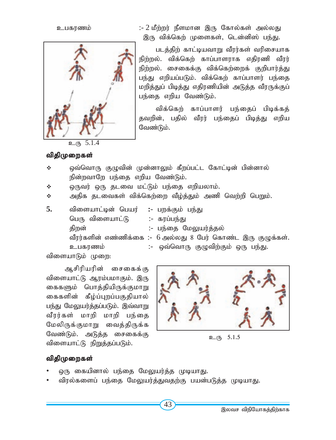உபகரணம்



:- 2 மீற்றர் நீளமான இரு கோல்கள் அல்லது இரு விக்கெற் முளைகள், டென்னிஸ் பந்து.

படத்திற் காட்டியவாறு வீரர்கள் வரிசையாக நிற்றல். விக்கெற் காப்பாளராக எதிரணி வீரர் நிற்றல். சைகைக்கு விக்கெற்றைக் குறிபார்த்து பந்து எறியப்படும். விக்கெற் காப்பாளர் பந்தை மறித்துப் பிடித்து எதிரணியின் அடுத்த வீரருக்குப் பந்தை எறிய வேண்டும்.

விக்கெற் காப்பாளர் பந்தைப் பிடிக்கத் தவறின், பதில் வீரர் பந்தைப் பிடித்து எறிய வேண்டும்.

விதிமுறைகள்

#### ÷ ஒவ்வொரு குழுவின் முன்னாலும் கீறப்பட்ட கோட்டின் பின்னால் நின்றவாறே பந்தை எறிய வேண்டும்.

ஒருவர் ஒரு தடவை மட்டும் பந்தை எறியலாம். ÷

அதிக தடவைகள் விக்கெற்றை வீழ்த்தும் அணி வெற்றி பெறும். ÷

| 5. | விளையாட்டின் பெயர் :- பறக்கும் பந்து |                                                              |
|----|--------------------------------------|--------------------------------------------------------------|
|    | பெரு விளையாட்டு                      | :- கரப்பந்து                                                 |
|    | திறன்                                | :- பந்தை மேலுயர்த்தல்                                        |
|    |                                      | வீரர்களின் எண்ணிக்கை :- 6 அல்லது 8 பேர் கொண்ட இரு குழுக்கள். |
|    | உபகரணம்                              | :- ஒவ்வொரு குழுவிற்கும் ஒரு பந்து.                           |
|    |                                      |                                                              |

விளையாடும் முறை:

ஆசிரியரின் சைகைக்கு விளையாட்டு ஆரம்பமாகும். இரு கைகளும் பொத்தியிருக்குமாறு கைகளின் கீழ்ப்புறப்பகுதியால் பந்து மேலுயர்த்தப்படும். இவ்வாறு வீரர்கள் மாறி மாறி பந்தை மேலிருக்குமாறு வைத்திருக்க வேண்டும். அடுத்த சைகைக்கு விளையாட்டு நிறுத்தப்படும்.



உரு 5.1.5

### விதிமுறைகள்

- ஒரு கையினால் பந்தை மேலுயர்த்த முடியாது.
- விரல்களைப் பந்தை மேலுயர்த்துவதற்கு பயன்படுத்த முடியாது.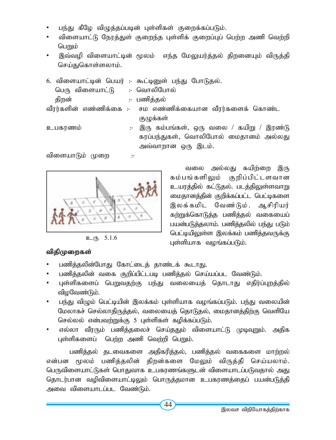- பந்து கீழே விழுத்தப்படின் புள்ளிகள் குறைக்கப்படும்.
- *tpisahl;L Neuj;Js; Fiwe;j Gs;spf; Fiwg;Gg; ngw;w mzp ntw;wp ngWk;*
- இவ்வழி விளையாட்டின் மூலம் எந்த மேலுயர்த்தல் திறனையும் விருத்தி செய்துகொள்ளலாம்.
- 6. விளையாட்டின் பெயர் :- கூட்டினுள் பந்து போடுதல்.  *ngU tpisahl;L :- nthypNghy; jpwd; :- gzpj;jy;* வீரர்களின் எண்ணிக்கை :- சம எண்ணிக்கையான வீரர்களைக் கொண்ட குழுக்கள்
- *cgfuzk; :- ,U fk;gq;fs;> xU tiy* / *fapW* / *,uz;L* கரப்பந்துகள், வொலிபோல் மைதானம் அல்லது அவ்வாறான ஒரு இடம்.

விளையாடும் முறை :-



**p**<sub>(h)</sub> 5.1.6

### விதிமுறைகள்

- பணித்தலின்போது கோட்டைத் தாண்டக் கூடாது.
- பணித்தலின் வகை குறிப்பிட்டபடி பணித்தல் செய்யப்பட வேண்டும்.
- புள்ளிகளைப் பெறுவதற்கு பந்து வலையைத் தொடாது எதிர்ப்புறத்தில் விழவேண்டும்.
- பந்து விழும் பெட்டியின் இலக்கம் புள்ளியாக வழங்கப்படும். பந்து வலையின் மேலாகச் செல்லாதிருத்தல், வலையைத் தொடுதல், மைதானத்திற்கு வெளியே செல்லல் என்பவற்றுக்கு 5 புள்ளிகள் கழிக்கப்படும்.
- எல்லா வீரரும் பணித்தலைச் செய்ததும் விளையாட்டு முடிவுறும். அதிக புள்ளிகளைப் பெற்ற அணி வெற்றி பெறும்.

பணித்தல் தடவைகளை அதிகரித்தல், பணித்தல் வகைகளை மாற்றல் என்பன மூலம் பணித்தலின் திறன்களை மேலும் விருத்தி செய்யலாம். பெருவிளையாட்டுகள் பொதுவாக உபகரணங்களுடன் விளையாடப்படுவதால் அது தொடர்பான வழிவிளையாட்டிலும் பொருத்தமான உபகரணத்தைப் பயன்படுத்தி அவை விளையாடப்பட வேண்டும்.

வலை அல்லது கயிற்றை இரு கம்பங்களிலும் குறிப்பிட்டளவான உயரத்தில் கட்டுதல். படத்திலுள்ளவா<u>று</u> மைதானத்தின் குறிக்கப்பட்ட பெட்டிகளை இலக்கமிட வேண்டும். ஆசிரியர் கற்றுக்கொடுத்த பணித்தல் வகையைப் பயன்படுத்தலாம். பணித்தலில் பந்து படும் பெட்டியிலுள்ள இலக்கம் பணித்தவருக்கு புள்ளியாக வழங்கப்படும்.